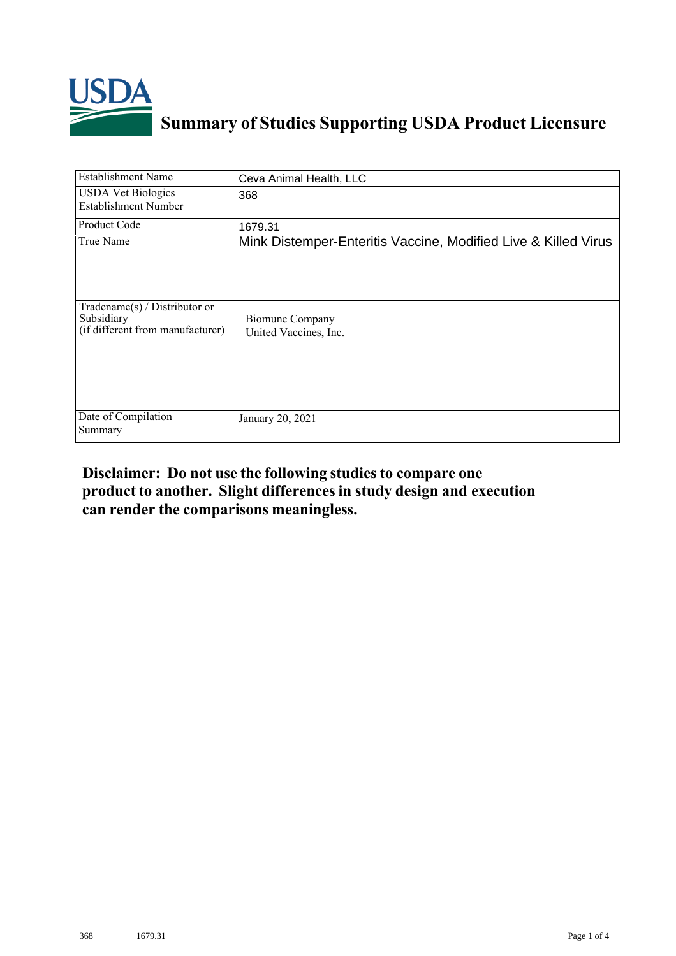

## **Summary of Studies Supporting USDA Product Licensure**

| <b>Establishment Name</b>                                                          | Ceva Animal Health, LLC                                        |
|------------------------------------------------------------------------------------|----------------------------------------------------------------|
| <b>USDA Vet Biologics</b><br><b>Establishment Number</b>                           | 368                                                            |
| Product Code                                                                       | 1679.31                                                        |
| True Name                                                                          | Mink Distemper-Enteritis Vaccine, Modified Live & Killed Virus |
| Tradename $(s)$ / Distributor or<br>Subsidiary<br>(if different from manufacturer) | <b>Biomune Company</b><br>United Vaccines, Inc.                |
| Date of Compilation<br>Summary                                                     | January 20, 2021                                               |

## **Disclaimer: Do not use the following studiesto compare one product to another. Slight differencesin study design and execution can render the comparisons meaningless.**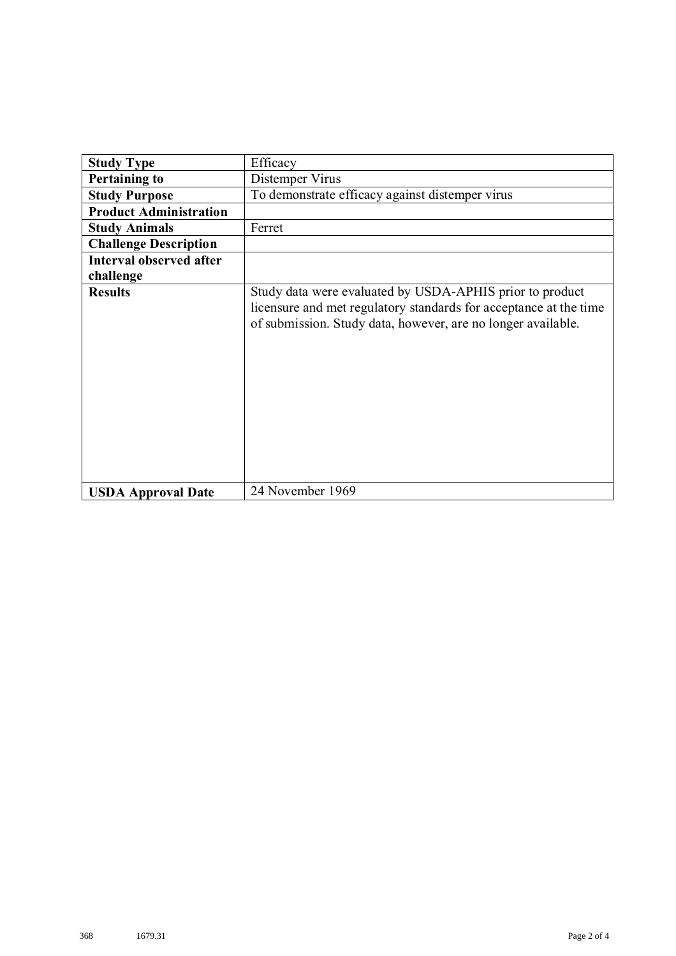| <b>Study Type</b>              | Efficacy                                                                                                                                                                                      |
|--------------------------------|-----------------------------------------------------------------------------------------------------------------------------------------------------------------------------------------------|
| <b>Pertaining to</b>           | Distemper Virus                                                                                                                                                                               |
| <b>Study Purpose</b>           | To demonstrate efficacy against distemper virus                                                                                                                                               |
| <b>Product Administration</b>  |                                                                                                                                                                                               |
| <b>Study Animals</b>           | Ferret                                                                                                                                                                                        |
| <b>Challenge Description</b>   |                                                                                                                                                                                               |
| <b>Interval observed after</b> |                                                                                                                                                                                               |
| challenge                      |                                                                                                                                                                                               |
| <b>Results</b>                 | Study data were evaluated by USDA-APHIS prior to product<br>licensure and met regulatory standards for acceptance at the time<br>of submission. Study data, however, are no longer available. |
| <b>USDA Approval Date</b>      | 24 November 1969                                                                                                                                                                              |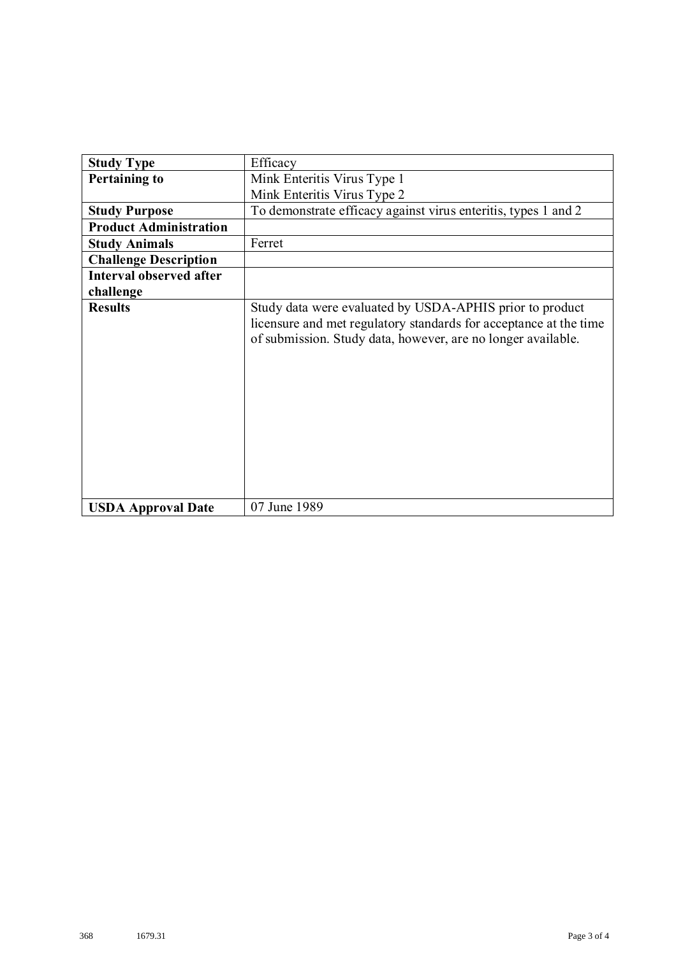| <b>Study Type</b>             | Efficacy                                                                                                                                                                                      |
|-------------------------------|-----------------------------------------------------------------------------------------------------------------------------------------------------------------------------------------------|
| <b>Pertaining to</b>          | Mink Enteritis Virus Type 1                                                                                                                                                                   |
|                               | Mink Enteritis Virus Type 2                                                                                                                                                                   |
| <b>Study Purpose</b>          | To demonstrate efficacy against virus enteritis, types 1 and 2                                                                                                                                |
| <b>Product Administration</b> |                                                                                                                                                                                               |
| <b>Study Animals</b>          | Ferret                                                                                                                                                                                        |
| <b>Challenge Description</b>  |                                                                                                                                                                                               |
| Interval observed after       |                                                                                                                                                                                               |
| challenge                     |                                                                                                                                                                                               |
| <b>Results</b>                | Study data were evaluated by USDA-APHIS prior to product<br>licensure and met regulatory standards for acceptance at the time<br>of submission. Study data, however, are no longer available. |
| <b>USDA Approval Date</b>     | 07 June 1989                                                                                                                                                                                  |